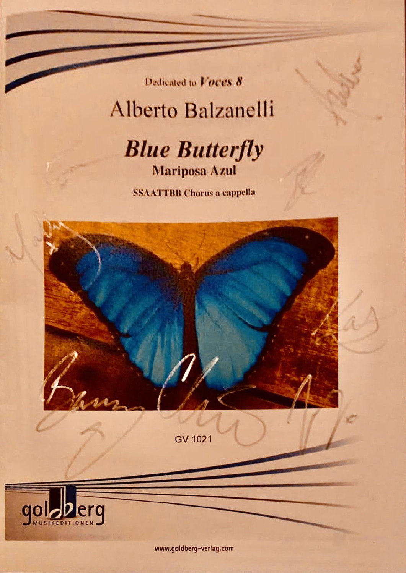Dedicated to Voces 8

## Alberto Balzanelli



**SSAATTBB Chorus a cappella** 



GV 1021



www.goldberg-verlag.com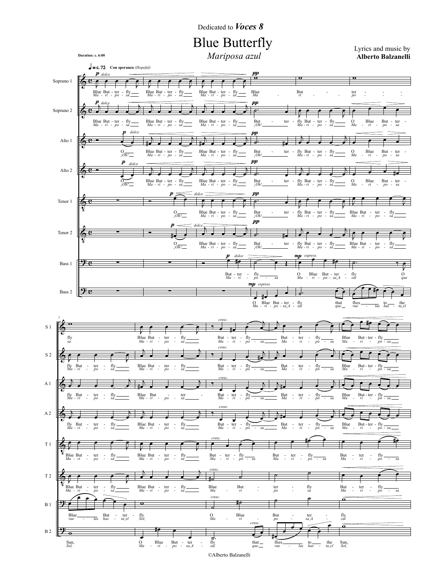Dedicated to Voces 8

Mariposa azul

Alberto Balzanelli